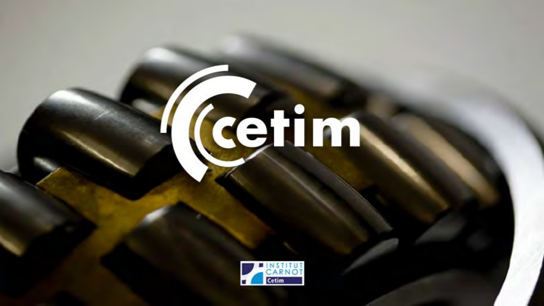# (cettim

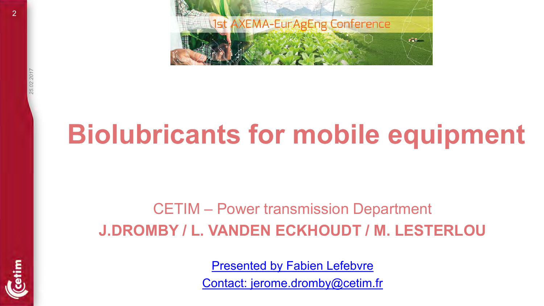

## **Biolubricants for mobile equipment**

#### CETIM – Power transmission Department **J.DROMBY / L. VANDEN ECKHOUDT / M. LESTERLOU**

[Presented by Fabien Lefebvre](mailto:fabien.lefebvre@cetim.fr) 

[Contact: jerome.dromby@cetim.fr](mailto:fabien.lefebvre@cetim.fr)

 $\overline{2}$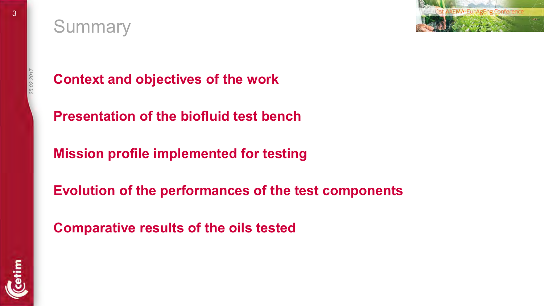#### **Summary**



**Context and objectives of the work** 

**Presentation of the biofluid test bench** 

**Mission profile implemented for testing** 

**Evolution of the performances of the test components** 

**Comparative results of the oils tested** 

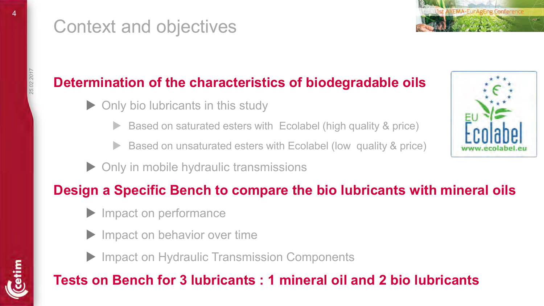#### Context and objectives



- Only bio lubricants in this study
	- Based on saturated esters with Ecolabel (high quality & price)
	- Based on unsaturated esters with Ecolabel (low quality & price)
- ▶ Only in mobile hydraulic transmissions

#### **Design a Specific Bench to compare the bio lubricants with mineral oils**

- Impact on performance
- Impact on behavior over time
- ▶ Impact on Hydraulic Transmission Components

#### **Tests on Bench for 3 lubricants : 1 mineral oil and 2 bio lubricants**



**AXEMA-FurAgEng** 

*25.02.2017*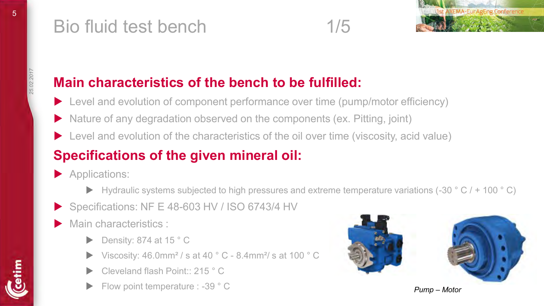



#### **Main characteristics of the bench to be fulfilled:**

- ▶ Level and evolution of component performance over time (pump/motor efficiency)
- ▶ Nature of any degradation observed on the components (ex. Pitting, joint)
- ▶ Level and evolution of the characteristics of the oil over time (viscosity, acid value)

#### **Specifications of the given mineral oil:**

- Applications:
	- ▶ Hydraulic systems subjected to high pressures and extreme temperature variations (-30 ° C / + 100 ° C)
- Specifications: NF E 48-603 HV / ISO 6743/4 HV
- Main characteristics :
	- Density: 874 at 15 ° C
	- Viscosity: 46.0mm² / s at 40 ° C 8.4mm²/ s at 100 ° C
	- Cleveland flash Point:: 215 ° C
	- Flow point temperature : -39 ° C **Pump Motor Pump Motor Pump Motor**

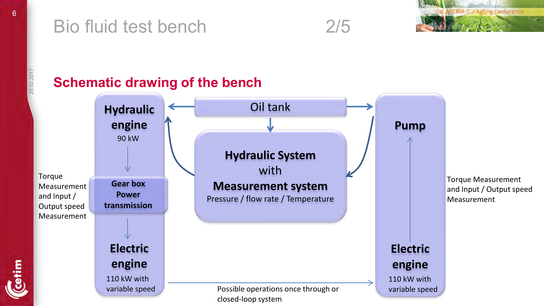#### Bio fluid test bench 2/5



*25.02.2017* 

#### **Schematic drawing of the bench Hydraulic engine Hydraulic System**  with Oil tank 90 kW

Torque Measurement and Input / Output speed Measurement

> **Electric engine**

**Gear box Power transmission** 

110 kW with variable speed

Possible operations once through or closed-loop system

**Measurement system**  Pressure / flow rate / Temperature Torque Measurement and Input / Output speed Measurement

#### **Electric engine**  110 kW with

**Pump** 

variable speed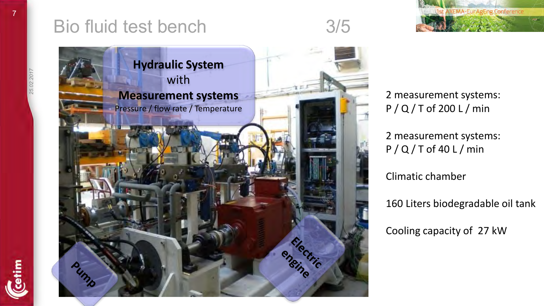

2 measurement systems: P / Q / T of 200 L / min

**Jst AXEMA-EurAgEng Conference** 

2 measurement systems: P / Q / T of 40 L / min

Climatic chamber

160 Liters biodegradable oil tank

Cooling capacity of 27 kW

etim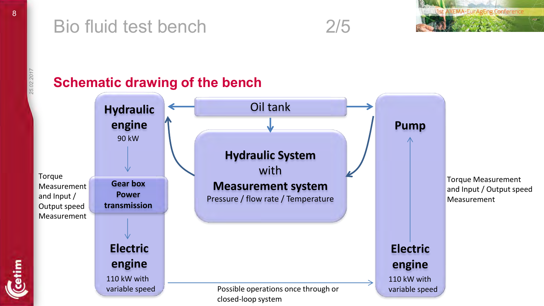#### Bio fluid test bench 2/5



*25.02.2017* 

#### **Schematic drawing of the bench Hydraulic engine Hydraulic System**  with **Measurement system**  Pressure / flow rate / Temperature **Gear box Power transmission**  Oil tank Torque Measurement and Input / Output speed Measurement 90 kW

Torque Measurement and Input / Output speed Measurement

etim

**Electric engine Pump Electric engine**  Possible operations once through or closed-loop system 110 kW with variable speed 110 kW with variable speed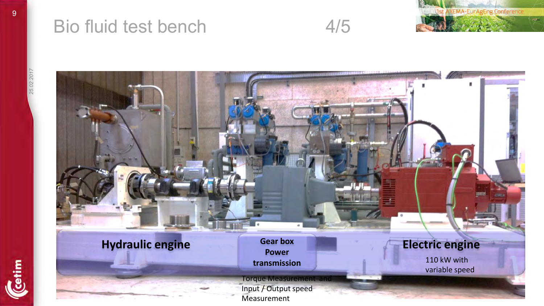

#### Bio fluid test bench 4/5



**Hydraulic engine Gear box Electric engine Power transmission** 110 kW with variable speed Torque Measurement and Input / Output speed Measurement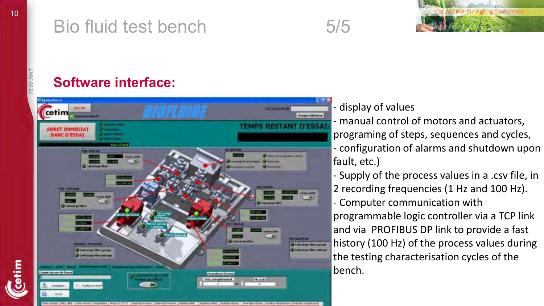### Bio fluid test bench 5/5



*25.02.2017* 

etim

#### **Software interface:**



#### display of values

- manual control of motors and actuators, programing of steps, sequences and cycles, - configuration of alarms and shutdown upon fault, etc.)

- Supply of the process values in a .csv file, in 2 recording frequencies (1 Hz and 100 Hz).

- Computer communication with

programmable logic controller via a TCP link and via PROFIBUS DP link to provide a fast history (100 Hz) of the process values during the testing characterisation cycles of the bench.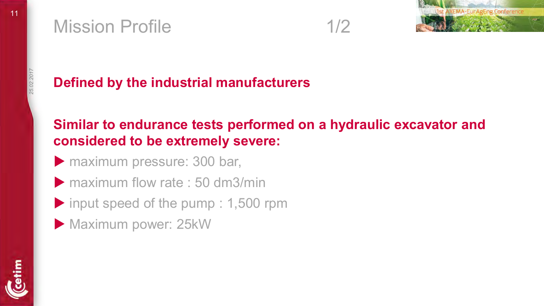#### Mission Profile 2012 1/2





*25.02.2017* 

#### **Defined by the industrial manufacturers**

#### **Similar to endurance tests performed on a hydraulic excavator and considered to be extremely severe:**

- **Maximum pressure: 300 bar,**
- $\triangleright$  maximum flow rate : 50 dm3/min
- input speed of the pump : 1,500 rpm
- Maximum power: 25kW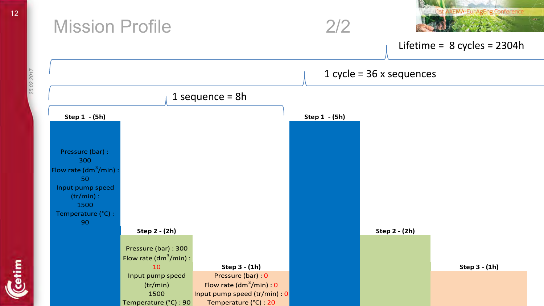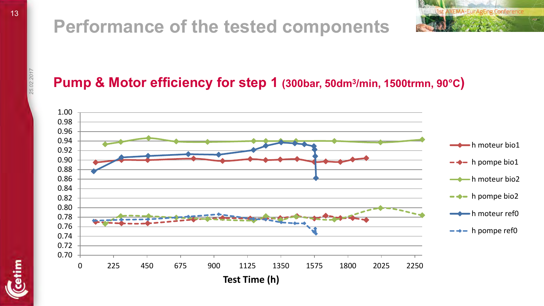### **Performance of the tested components**



#### **Pump & Motor efficiency for step 1 (300bar, 50dm<sup>3</sup> /min, 1500trmn, 90°C)**



*25.02.2017* 

etim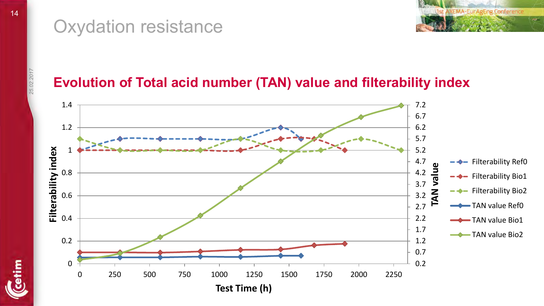

#### Oxydation resistance

cetim

14

#### **Evolution of Total acid number (TAN) value and filterability index**

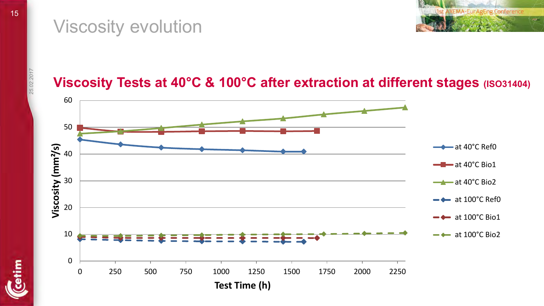#### Viscosity evolution



### *25.02.2017*

etim

#### **Viscosity Tests at 40°C & 100°C after extraction at different stages (ISO31404)**

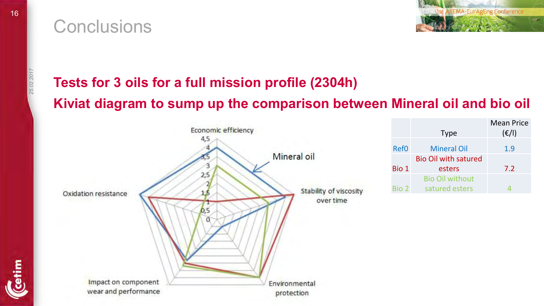#### **Conclusions**



etim

#### **Tests for 3 oils for a full mission profile (2304h) Kiviat diagram to sump up the comparison between Mineral oil and bio oil**